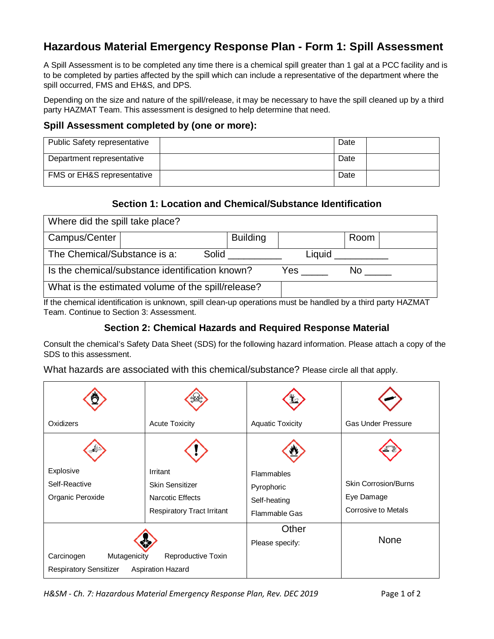# **Hazardous Material Emergency Response Plan - Form 1: Spill Assessment**

A Spill Assessment is to be completed any time there is a chemical spill greater than 1 gal at a PCC facility and is to be completed by parties affected by the spill which can include a representative of the department where the spill occurred, FMS and EH&S, and DPS.

Depending on the size and nature of the spill/release, it may be necessary to have the spill cleaned up by a third party HAZMAT Team. This assessment is designed to help determine that need.

#### **Spill Assessment completed by (one or more):**

| <b>Public Safety representative</b>   | Date |  |
|---------------------------------------|------|--|
| Department representative             | Date |  |
| <b>FMS or EH&amp;S representative</b> | Date |  |

#### **Section 1: Location and Chemical/Substance Identification**

| Where did the spill take place?                                                                           |                                                    |       |                 |     |        |      |  |
|-----------------------------------------------------------------------------------------------------------|----------------------------------------------------|-------|-----------------|-----|--------|------|--|
| Campus/Center                                                                                             |                                                    |       | <b>Building</b> |     |        | Room |  |
| The Chemical/Substance is a:                                                                              |                                                    | Solid |                 |     | Liquid |      |  |
| Is the chemical/substance identification known?                                                           |                                                    | Yes   |                 | No. |        |      |  |
|                                                                                                           | What is the estimated volume of the spill/release? |       |                 |     |        |      |  |
| Like a konstantinoplication in university and dean un anomations must be householders thind party LIAZMAT |                                                    |       |                 |     |        |      |  |

If the chemical identification is unknown, spill clean-up operations must be handled by a third party HAZMAT Team. Continue to Section 3: Assessment.

#### **Section 2: Chemical Hazards and Required Response Material**

Consult the chemical's Safety Data Sheet (SDS) for the following hazard information. Please attach a copy of the SDS to this assessment.

What hazards are associated with this chemical/substance? Please circle all that apply.

| Oxidizers                                                   | <b>Acute Toxicity</b>                                                                | <b>Aquatic Toxicity</b>                                   | <b>Gas Under Pressure</b>                                               |
|-------------------------------------------------------------|--------------------------------------------------------------------------------------|-----------------------------------------------------------|-------------------------------------------------------------------------|
|                                                             |                                                                                      |                                                           |                                                                         |
| Explosive<br>Self-Reactive<br>Organic Peroxide              | Irritant<br>Skin Sensitizer<br>Narcotic Effects<br><b>Respiratory Tract Irritant</b> | Flammables<br>Pyrophoric<br>Self-heating<br>Flammable Gas | <b>Skin Corrosion/Burns</b><br>Eye Damage<br><b>Corrosive to Metals</b> |
| Carcinogen<br>Mutagenicity<br><b>Respiratory Sensitizer</b> | Reproductive Toxin<br><b>Aspiration Hazard</b>                                       | Other<br>Please specify:                                  | <b>None</b>                                                             |

*H&SM - Ch. 7: Hazardous Material Emergency Response Plan, Rev. DEC 2019* Page 1 of 2